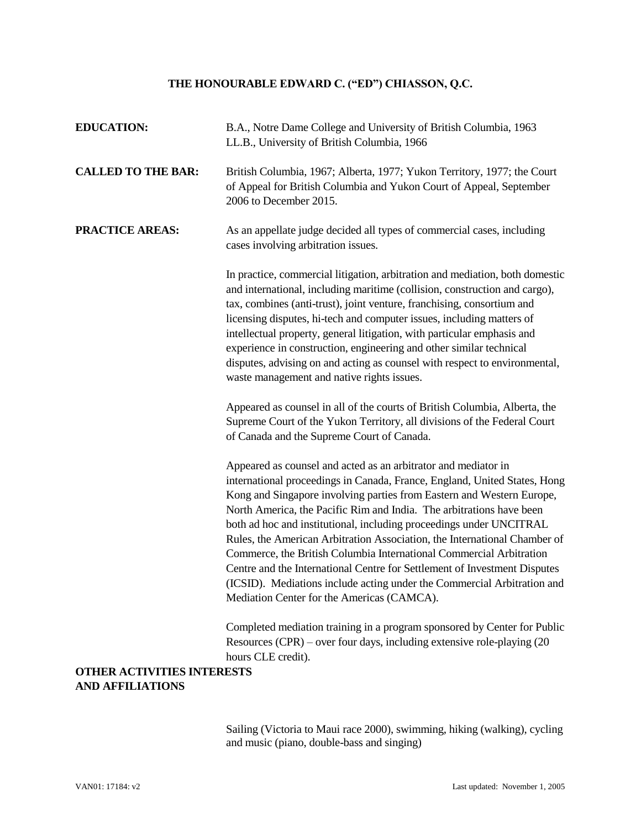## **THE HONOURABLE EDWARD C. ("ED") CHIASSON, Q.C.**

| <b>EDUCATION:</b>                                            | B.A., Notre Dame College and University of British Columbia, 1963<br>LL.B., University of British Columbia, 1966                                                                                                                                                                                                                                                                                                                                                                                                                                                                                                                                                                                                              |
|--------------------------------------------------------------|-------------------------------------------------------------------------------------------------------------------------------------------------------------------------------------------------------------------------------------------------------------------------------------------------------------------------------------------------------------------------------------------------------------------------------------------------------------------------------------------------------------------------------------------------------------------------------------------------------------------------------------------------------------------------------------------------------------------------------|
| <b>CALLED TO THE BAR:</b>                                    | British Columbia, 1967; Alberta, 1977; Yukon Territory, 1977; the Court<br>of Appeal for British Columbia and Yukon Court of Appeal, September<br>2006 to December 2015.                                                                                                                                                                                                                                                                                                                                                                                                                                                                                                                                                      |
| <b>PRACTICE AREAS:</b>                                       | As an appellate judge decided all types of commercial cases, including<br>cases involving arbitration issues.                                                                                                                                                                                                                                                                                                                                                                                                                                                                                                                                                                                                                 |
|                                                              | In practice, commercial litigation, arbitration and mediation, both domestic<br>and international, including maritime (collision, construction and cargo),<br>tax, combines (anti-trust), joint venture, franchising, consortium and<br>licensing disputes, hi-tech and computer issues, including matters of<br>intellectual property, general litigation, with particular emphasis and<br>experience in construction, engineering and other similar technical<br>disputes, advising on and acting as counsel with respect to environmental,<br>waste management and native rights issues.                                                                                                                                   |
|                                                              | Appeared as counsel in all of the courts of British Columbia, Alberta, the<br>Supreme Court of the Yukon Territory, all divisions of the Federal Court<br>of Canada and the Supreme Court of Canada.                                                                                                                                                                                                                                                                                                                                                                                                                                                                                                                          |
|                                                              | Appeared as counsel and acted as an arbitrator and mediator in<br>international proceedings in Canada, France, England, United States, Hong<br>Kong and Singapore involving parties from Eastern and Western Europe,<br>North America, the Pacific Rim and India. The arbitrations have been<br>both ad hoc and institutional, including proceedings under UNCITRAL<br>Rules, the American Arbitration Association, the International Chamber of<br>Commerce, the British Columbia International Commercial Arbitration<br>Centre and the International Centre for Settlement of Investment Disputes<br>(ICSID). Mediations include acting under the Commercial Arbitration and<br>Mediation Center for the Americas (CAMCA). |
|                                                              | Completed mediation training in a program sponsored by Center for Public<br>Resources (CPR) – over four days, including extensive role-playing $(20$<br>hours CLE credit).                                                                                                                                                                                                                                                                                                                                                                                                                                                                                                                                                    |
| <b>OTHER ACTIVITIES INTERESTS</b><br><b>AND AFFILIATIONS</b> |                                                                                                                                                                                                                                                                                                                                                                                                                                                                                                                                                                                                                                                                                                                               |
|                                                              |                                                                                                                                                                                                                                                                                                                                                                                                                                                                                                                                                                                                                                                                                                                               |

Sailing (Victoria to Maui race 2000), swimming, hiking (walking), cycling and music (piano, double-bass and singing)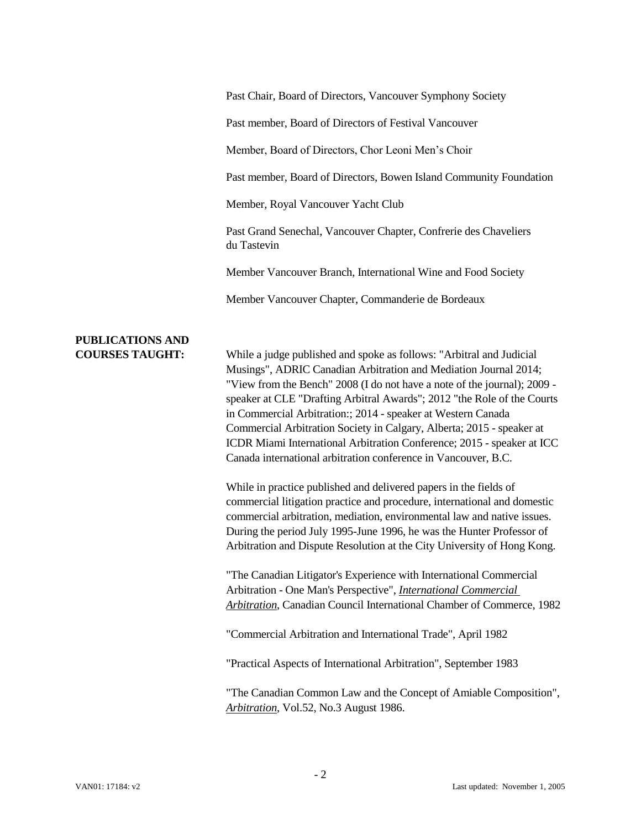| Past Chair, Board of Directors, Vancouver Symphony Society |  |  |  |
|------------------------------------------------------------|--|--|--|
|                                                            |  |  |  |

Past member, Board of Directors of Festival Vancouver

Member, Board of Directors, Chor Leoni Men's Choir

Past member, Board of Directors, Bowen Island Community Foundation

Member, Royal Vancouver Yacht Club

Past Grand Senechal, Vancouver Chapter, Confrerie des Chaveliers du Tastevin

Member Vancouver Branch, International Wine and Food Society

Member Vancouver Chapter, Commanderie de Bordeaux

## **PUBLICATIONS AND**

**COURSES TAUGHT:** While a judge published and spoke as follows: "Arbitral and Judicial Musings", ADRIC Canadian Arbitration and Mediation Journal 2014; "View from the Bench" 2008 (I do not have a note of the journal); 2009 speaker at CLE "Drafting Arbitral Awards"; 2012 "the Role of the Courts in Commercial Arbitration:; 2014 - speaker at Western Canada Commercial Arbitration Society in Calgary, Alberta; 2015 - speaker at ICDR Miami International Arbitration Conference; 2015 - speaker at ICC Canada international arbitration conference in Vancouver, B.C.

> While in practice published and delivered papers in the fields of commercial litigation practice and procedure, international and domestic commercial arbitration, mediation, environmental law and native issues. During the period July 1995-June 1996, he was the Hunter Professor of Arbitration and Dispute Resolution at the City University of Hong Kong.

"The Canadian Litigator's Experience with International Commercial Arbitration - One Man's Perspective", *International Commercial Arbitration*, Canadian Council International Chamber of Commerce, 1982

"Commercial Arbitration and International Trade", April 1982

"Practical Aspects of International Arbitration", September 1983

"The Canadian Common Law and the Concept of Amiable Composition", *Arbitration*, Vol.52, No.3 August 1986.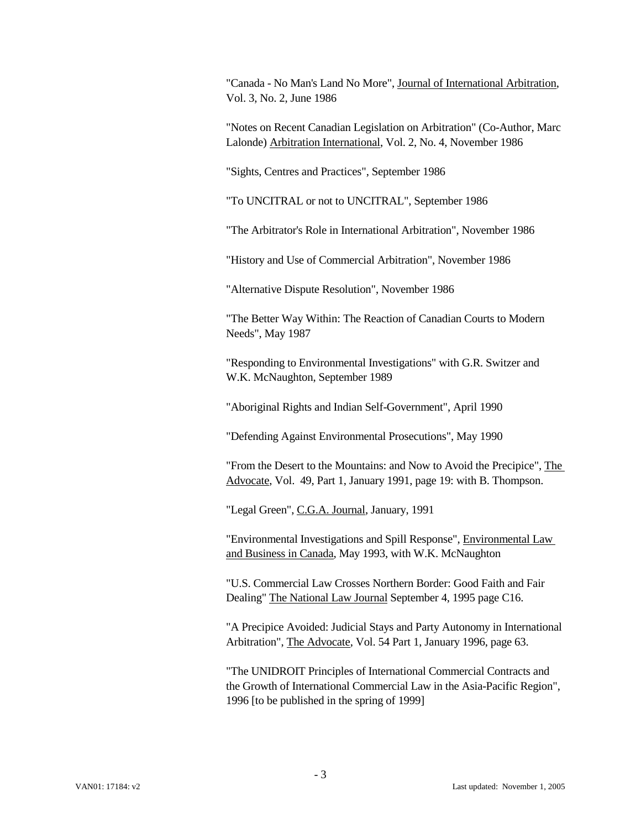"Canada - No Man's Land No More", Journal of International Arbitration, Vol. 3, No. 2, June 1986

"Notes on Recent Canadian Legislation on Arbitration" (Co-Author, Marc Lalonde) Arbitration International, Vol. 2, No. 4, November 1986

"Sights, Centres and Practices", September 1986

"To UNCITRAL or not to UNCITRAL", September 1986

"The Arbitrator's Role in International Arbitration", November 1986

"History and Use of Commercial Arbitration", November 1986

"Alternative Dispute Resolution", November 1986

"The Better Way Within: The Reaction of Canadian Courts to Modern Needs", May 1987

"Responding to Environmental Investigations" with G.R. Switzer and W.K. McNaughton, September 1989

"Aboriginal Rights and Indian Self-Government", April 1990

"Defending Against Environmental Prosecutions", May 1990

"From the Desert to the Mountains: and Now to Avoid the Precipice", The Advocate, Vol. 49, Part 1, January 1991, page 19: with B. Thompson.

"Legal Green", C.G.A. Journal, January, 1991

"Environmental Investigations and Spill Response", Environmental Law and Business in Canada, May 1993, with W.K. McNaughton

"U.S. Commercial Law Crosses Northern Border: Good Faith and Fair Dealing" The National Law Journal September 4, 1995 page C16.

"A Precipice Avoided: Judicial Stays and Party Autonomy in International Arbitration", The Advocate, Vol. 54 Part 1, January 1996, page 63.

"The UNIDROIT Principles of International Commercial Contracts and the Growth of International Commercial Law in the Asia-Pacific Region", 1996 [to be published in the spring of 1999]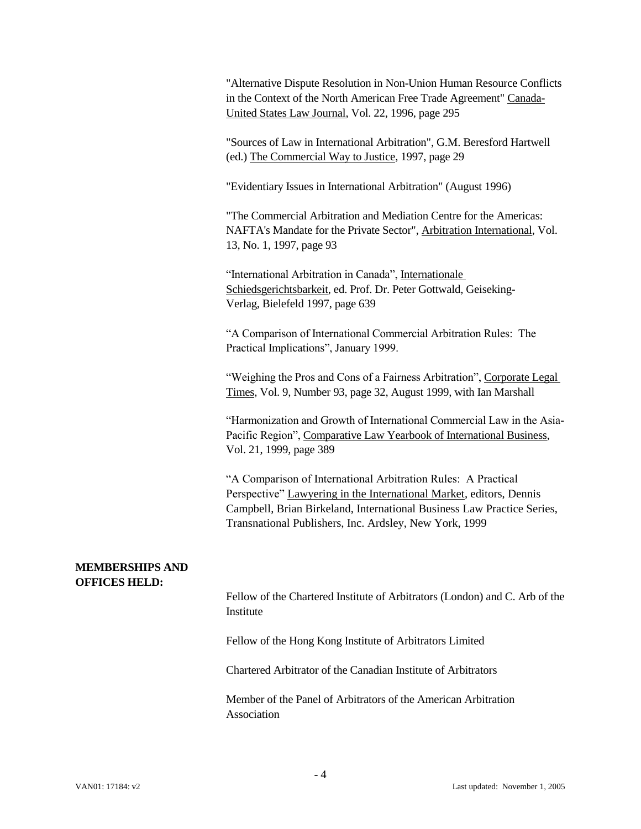"Alternative Dispute Resolution in Non-Union Human Resource Conflicts in the Context of the North American Free Trade Agreement" Canada-United States Law Journal, Vol. 22, 1996, page 295

"Sources of Law in International Arbitration", G.M. Beresford Hartwell (ed.) The Commercial Way to Justice, 1997, page 29

"Evidentiary Issues in International Arbitration" (August 1996)

"The Commercial Arbitration and Mediation Centre for the Americas: NAFTA's Mandate for the Private Sector", Arbitration International, Vol. 13, No. 1, 1997, page 93

"International Arbitration in Canada", Internationale Schiedsgerichtsbarkeit, ed. Prof. Dr. Peter Gottwald, Geiseking-Verlag, Bielefeld 1997, page 639

"A Comparison of International Commercial Arbitration Rules: The Practical Implications", January 1999.

"Weighing the Pros and Cons of a Fairness Arbitration", Corporate Legal Times, Vol. 9, Number 93, page 32, August 1999, with Ian Marshall

"Harmonization and Growth of International Commercial Law in the Asia-Pacific Region", Comparative Law Yearbook of International Business, Vol. 21, 1999, page 389

"A Comparison of International Arbitration Rules: A Practical Perspective" Lawyering in the International Market, editors, Dennis Campbell, Brian Birkeland, International Business Law Practice Series, Transnational Publishers, Inc. Ardsley, New York, 1999

## **MEMBERSHIPS AND OFFICES HELD:**

Fellow of the Chartered Institute of Arbitrators (London) and C. Arb of the Institute

Fellow of the Hong Kong Institute of Arbitrators Limited

Chartered Arbitrator of the Canadian Institute of Arbitrators

Member of the Panel of Arbitrators of the American Arbitration Association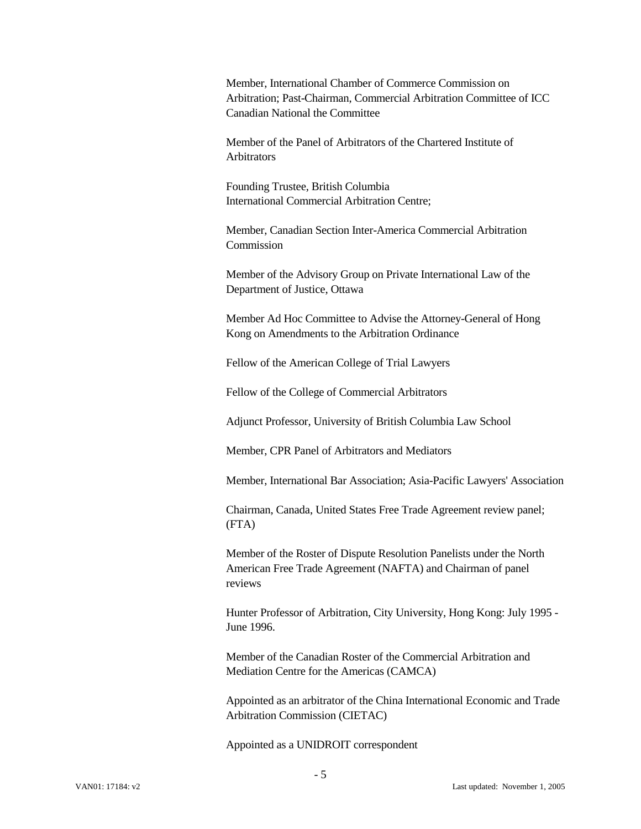Member, International Chamber of Commerce Commission on Arbitration; Past-Chairman, Commercial Arbitration Committee of ICC Canadian National the Committee

Member of the Panel of Arbitrators of the Chartered Institute of **Arbitrators** 

Founding Trustee, British Columbia International Commercial Arbitration Centre;

Member, Canadian Section Inter-America Commercial Arbitration Commission

Member of the Advisory Group on Private International Law of the Department of Justice, Ottawa

Member Ad Hoc Committee to Advise the Attorney-General of Hong Kong on Amendments to the Arbitration Ordinance

Fellow of the American College of Trial Lawyers

Fellow of the College of Commercial Arbitrators

Adjunct Professor, University of British Columbia Law School

Member, CPR Panel of Arbitrators and Mediators

Member, International Bar Association; Asia-Pacific Lawyers' Association

Chairman, Canada, United States Free Trade Agreement review panel; (FTA)

Member of the Roster of Dispute Resolution Panelists under the North American Free Trade Agreement (NAFTA) and Chairman of panel reviews

Hunter Professor of Arbitration, City University, Hong Kong: July 1995 - June 1996.

Member of the Canadian Roster of the Commercial Arbitration and Mediation Centre for the Americas (CAMCA)

Appointed as an arbitrator of the China International Economic and Trade Arbitration Commission (CIETAC)

Appointed as a UNIDROIT correspondent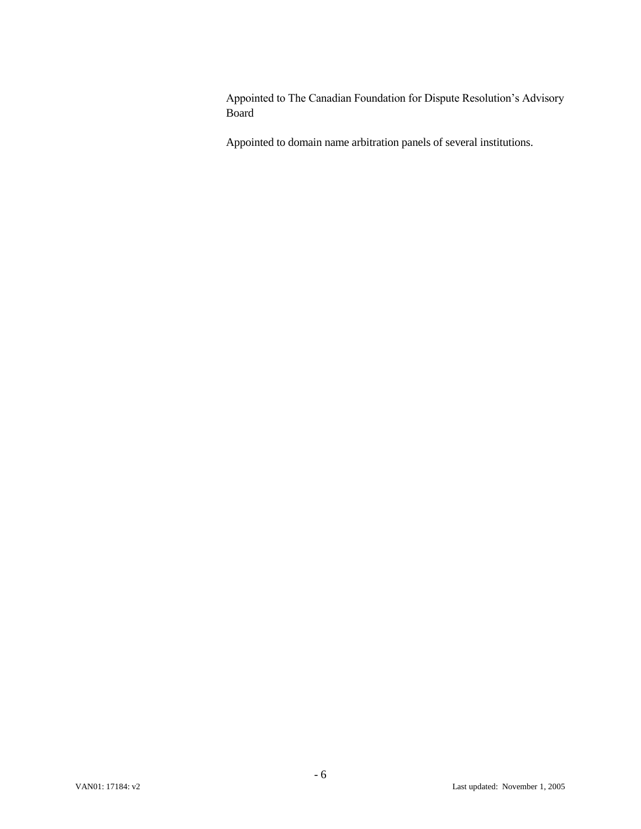Appointed to The Canadian Foundation for Dispute Resolution's Advisory Board

Appointed to domain name arbitration panels of several institutions.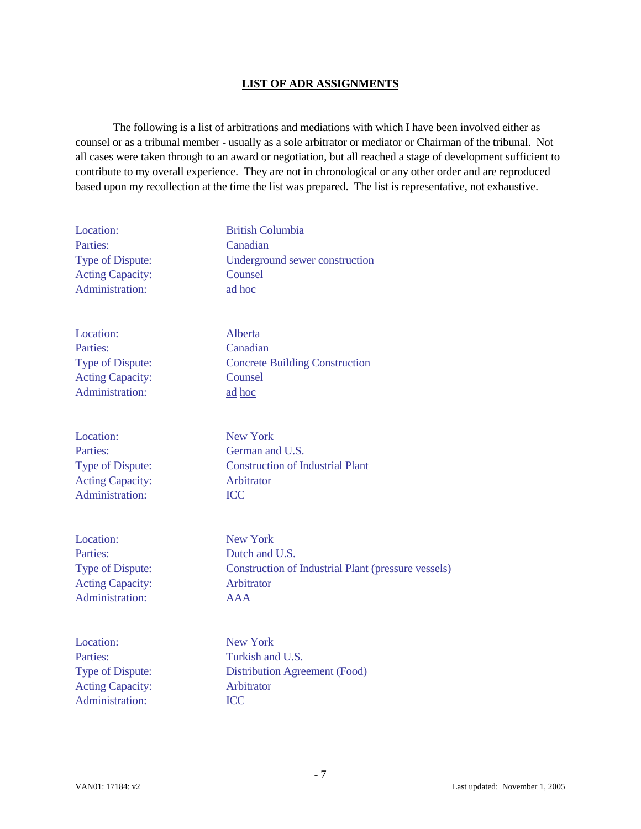## **LIST OF ADR ASSIGNMENTS**

The following is a list of arbitrations and mediations with which I have been involved either as counsel or as a tribunal member - usually as a sole arbitrator or mediator or Chairman of the tribunal. Not all cases were taken through to an award or negotiation, but all reached a stage of development sufficient to contribute to my overall experience. They are not in chronological or any other order and are reproduced based upon my recollection at the time the list was prepared. The list is representative, not exhaustive.

| Location:               | <b>British Columbia</b>                                    |
|-------------------------|------------------------------------------------------------|
| Parties:                | Canadian                                                   |
| Type of Dispute:        | Underground sewer construction                             |
| <b>Acting Capacity:</b> | Counsel                                                    |
| Administration:         | ad hoc                                                     |
| Location:               | Alberta                                                    |
| Parties:                | Canadian                                                   |
| Type of Dispute:        | <b>Concrete Building Construction</b>                      |
| <b>Acting Capacity:</b> | Counsel                                                    |
| Administration:         | ad hoc                                                     |
| Location:               | <b>New York</b>                                            |
| Parties:                | German and U.S.                                            |
| Type of Dispute:        | <b>Construction of Industrial Plant</b>                    |
| <b>Acting Capacity:</b> | Arbitrator                                                 |
| Administration:         | <b>ICC</b>                                                 |
| Location:               | <b>New York</b>                                            |
| Parties:                | Dutch and U.S.                                             |
| Type of Dispute:        | <b>Construction of Industrial Plant (pressure vessels)</b> |
| <b>Acting Capacity:</b> | Arbitrator                                                 |
| Administration:         | <b>AAA</b>                                                 |
| Location:               | <b>New York</b>                                            |
| Parties:                | Turkish and U.S.                                           |
| Type of Dispute:        | <b>Distribution Agreement (Food)</b>                       |
| <b>Acting Capacity:</b> | Arbitrator                                                 |
| Administration:         | <b>ICC</b>                                                 |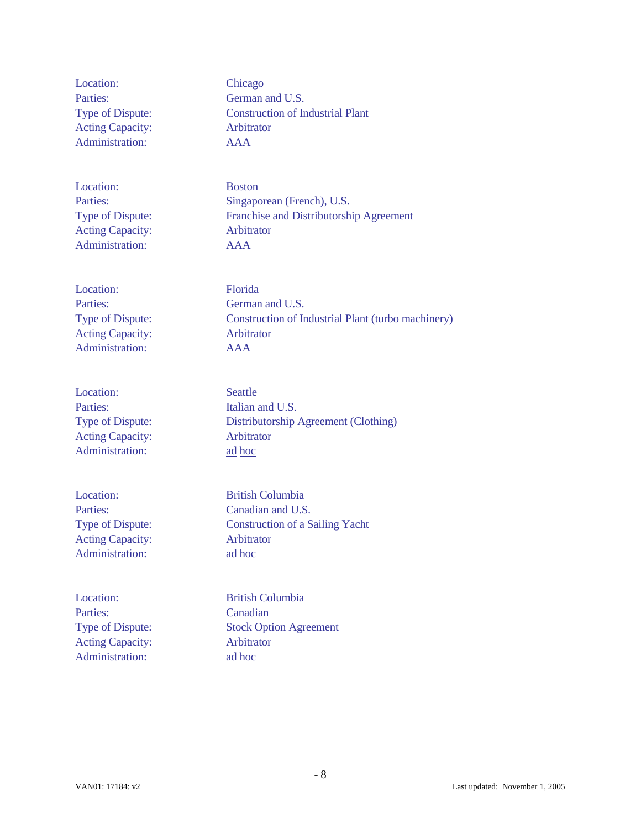Location: Chicago Parties: German and U.S. Acting Capacity: Arbitrator Administration: AAA

Location: Boston Acting Capacity: Arbitrator Administration: AAA

Location: Florida Acting Capacity: Arbitrator Administration: AAA

Location: Seattle Parties: Italian and U.S. Acting Capacity: Arbitrator Administration: ad hoc

Acting Capacity: Arbitrator Administration: ad hoc

Parties: Canadian Acting Capacity: Arbitrator Administration: ad hoc

Type of Dispute: Construction of Industrial Plant

Parties: Singaporean (French), U.S. Type of Dispute: Franchise and Distributorship Agreement

Parties: German and U.S. Type of Dispute: Construction of Industrial Plant (turbo machinery)

Type of Dispute: Distributorship Agreement (Clothing)

Location: British Columbia Parties: Canadian and U.S. Type of Dispute: Construction of a Sailing Yacht

Location: British Columbia Type of Dispute: Stock Option Agreement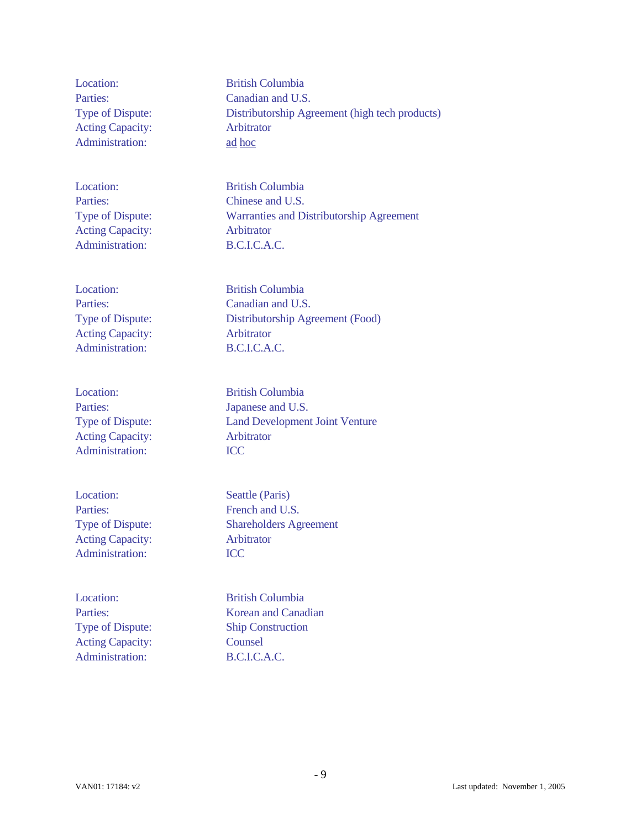Acting Capacity: Arbitrator Administration: ad hoc

Acting Capacity: Arbitrator Administration: B.C.I.C.A.C.

Location: British Columbia Acting Capacity: Arbitrator Administration: B.C.I.C.A.C.

Acting Capacity: Arbitrator Administration: **ICC** 

Location: Seattle (Paris) Parties: French and U.S. Acting Capacity: Arbitrator Administration: **ICC** 

Location: British Columbia Acting Capacity: Counsel Administration: B.C.I.C.A.C.

Location: British Columbia Parties: Canadian and U.S. Type of Dispute: Distributorship Agreement (high tech products)

Location: British Columbia Parties: Chinese and U.S. Type of Dispute: Warranties and Distributorship Agreement

Parties: Canadian and U.S. Type of Dispute: Distributorship Agreement (Food)

Location: British Columbia Parties: Japanese and U.S. Type of Dispute: Land Development Joint Venture

Type of Dispute: Shareholders Agreement

Parties: Korean and Canadian Type of Dispute: Ship Construction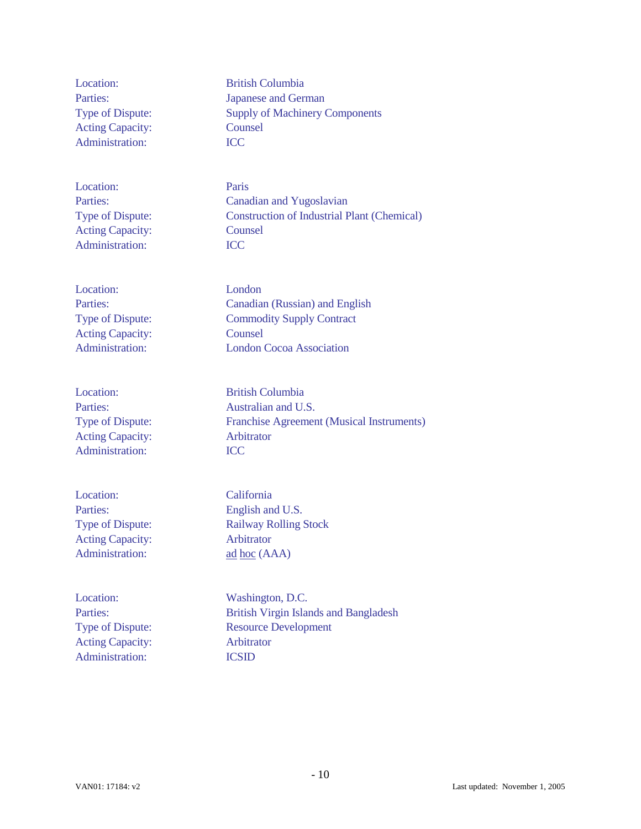Location: British Columbia Acting Capacity: Counsel Administration: **ICC** 

Location: Paris Acting Capacity: Counsel Administration: ICC

Location: London Acting Capacity: Counsel

Location: British Columbia Acting Capacity: Arbitrator Administration: **ICC** 

Location: California Parties: English and U.S. Acting Capacity: Arbitrator Administration: ad hoc (AAA)

Location: Washington, D.C. Acting Capacity: Arbitrator Administration: ICSID

Parties: Japanese and German Type of Dispute: Supply of Machinery Components

Parties: Canadian and Yugoslavian Type of Dispute: Construction of Industrial Plant (Chemical)

Parties: Canadian (Russian) and English Type of Dispute: Commodity Supply Contract Administration: London Cocoa Association

Parties: Australian and U.S. Type of Dispute: Franchise Agreement (Musical Instruments)

Type of Dispute: Railway Rolling Stock

Parties: British Virgin Islands and Bangladesh Type of Dispute: Resource Development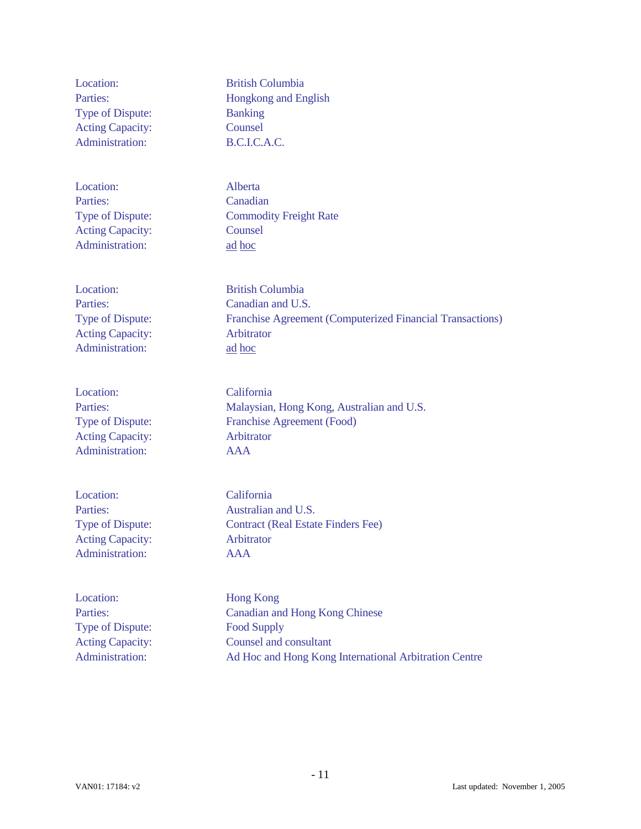| Location:               | <b>British Columbia</b>                                   |
|-------------------------|-----------------------------------------------------------|
| Parties:                | Hongkong and English                                      |
| Type of Dispute:        | <b>Banking</b>                                            |
| <b>Acting Capacity:</b> | Counsel                                                   |
| Administration:         | B.C.I.C.A.C.                                              |
| Location:               | Alberta                                                   |
| Parties:                | Canadian                                                  |
| Type of Dispute:        | <b>Commodity Freight Rate</b>                             |
| <b>Acting Capacity:</b> | Counsel                                                   |
| Administration:         | ad hoc                                                    |
| Location:               | <b>British Columbia</b>                                   |
| Parties:                | Canadian and U.S.                                         |
| Type of Dispute:        | Franchise Agreement (Computerized Financial Transactions) |
| <b>Acting Capacity:</b> | Arbitrator                                                |
| Administration:         | ad hoc                                                    |
| Location:               | California                                                |
| Parties:                | Malaysian, Hong Kong, Australian and U.S.                 |
| Type of Dispute:        | Franchise Agreement (Food)                                |
| <b>Acting Capacity:</b> | Arbitrator                                                |
| Administration:         | <b>AAA</b>                                                |
| Location:               | California                                                |
| Parties:                | Australian and U.S.                                       |
| Type of Dispute:        | <b>Contract (Real Estate Finders Fee)</b>                 |
| <b>Acting Capacity:</b> | Arbitrator                                                |
| Administration:         | <b>AAA</b>                                                |
| Location:               | <b>Hong Kong</b>                                          |
| Parties:                | <b>Canadian and Hong Kong Chinese</b>                     |
| Type of Dispute:        | <b>Food Supply</b>                                        |
| <b>Acting Capacity:</b> | Counsel and consultant                                    |

Administration: Ad Hoc and Hong Kong International Arbitration Centre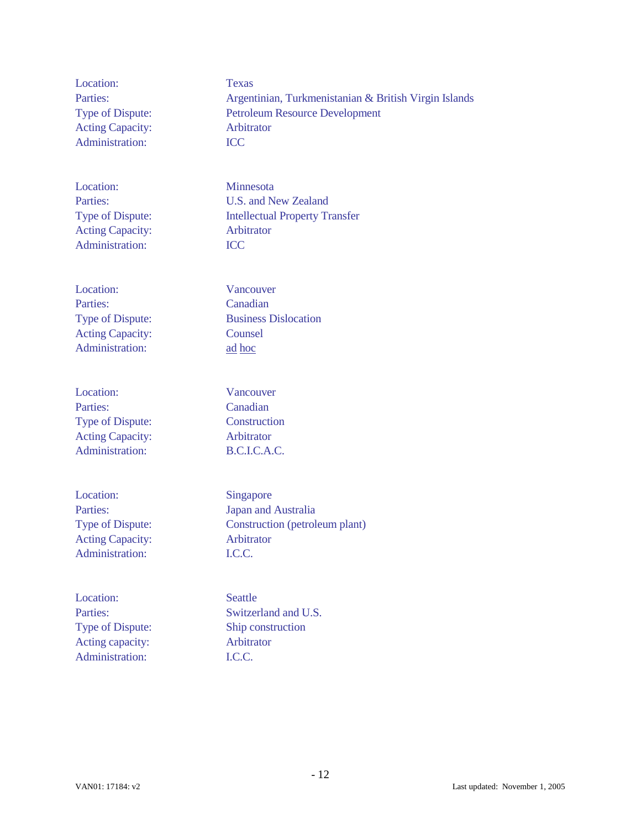Location: Texas Acting Capacity: Arbitrator Administration: **ICC** 

Location: Minnesota Acting Capacity: Arbitrator Administration: ICC

Location: Vancouver Parties: Canadian Acting Capacity: Counsel Administration: ad hoc

Location: Vancouver Parties: Canadian Type of Dispute: Construction Acting Capacity: Arbitrator Administration: B.C.I.C.A.C.

Location: Singapore Acting Capacity: Arbitrator Administration: I.C.C.

Location: Seattle Acting capacity: Arbitrator Administration: I.C.C.

Parties: Argentinian, Turkmenistanian & British Virgin Islands Type of Dispute: Petroleum Resource Development

Parties: U.S. and New Zealand Type of Dispute: Intellectual Property Transfer

Type of Dispute: Business Dislocation

Parties: Japan and Australia Type of Dispute: Construction (petroleum plant)

Parties: Switzerland and U.S. Type of Dispute: Ship construction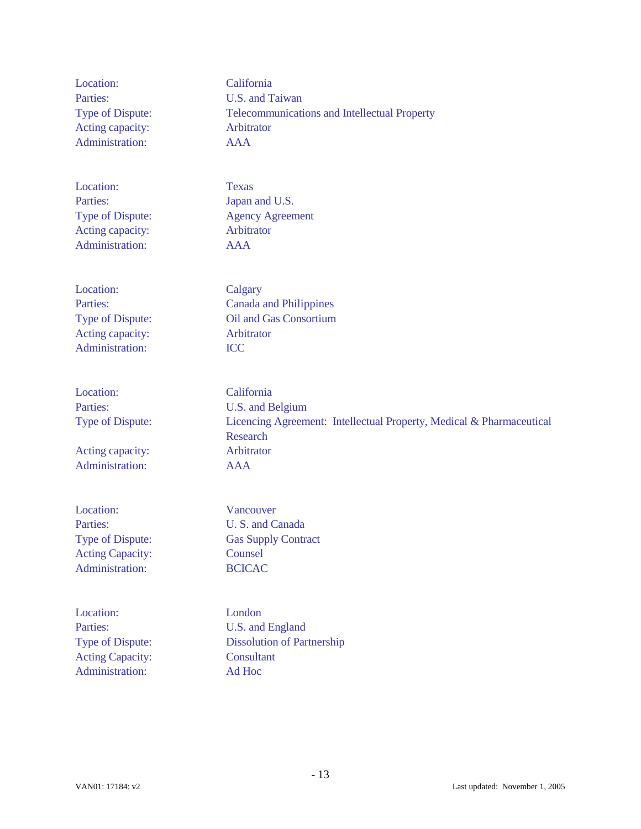| Location:               | California                                                           |
|-------------------------|----------------------------------------------------------------------|
| Parties:                | U.S. and Taiwan                                                      |
| Type of Dispute:        | <b>Telecommunications and Intellectual Property</b>                  |
| Acting capacity:        | Arbitrator                                                           |
| Administration:         | <b>AAA</b>                                                           |
|                         |                                                                      |
| Location:               | <b>Texas</b>                                                         |
| Parties:                | Japan and U.S.                                                       |
| Type of Dispute:        | <b>Agency Agreement</b>                                              |
| Acting capacity:        | Arbitrator                                                           |
| Administration:         | <b>AAA</b>                                                           |
|                         |                                                                      |
| Location:               | Calgary                                                              |
| Parties:                | <b>Canada and Philippines</b>                                        |
| Type of Dispute:        | Oil and Gas Consortium                                               |
| Acting capacity:        | Arbitrator                                                           |
| Administration:         | <b>ICC</b>                                                           |
|                         |                                                                      |
| Location:               | California                                                           |
| Parties:                | U.S. and Belgium                                                     |
| Type of Dispute:        | Licencing Agreement: Intellectual Property, Medical & Pharmaceutical |
|                         | Research                                                             |
| Acting capacity:        | Arbitrator                                                           |
| Administration:         | <b>AAA</b>                                                           |
|                         |                                                                      |
| Location:               | Vancouver                                                            |
| Parties:                | U.S. and Canada                                                      |
| Type of Dispute:        | <b>Gas Supply Contract</b>                                           |
| <b>Acting Capacity:</b> | Counsel                                                              |
| Administration:         | <b>BCICAC</b>                                                        |
|                         |                                                                      |
| Location:               | London                                                               |
| Parties:                | U.S. and England                                                     |
| Type of Dispute:        | <b>Dissolution of Partnership</b>                                    |
| <b>Acting Capacity:</b> | Consultant                                                           |
| Administration:         | Ad Hoc                                                               |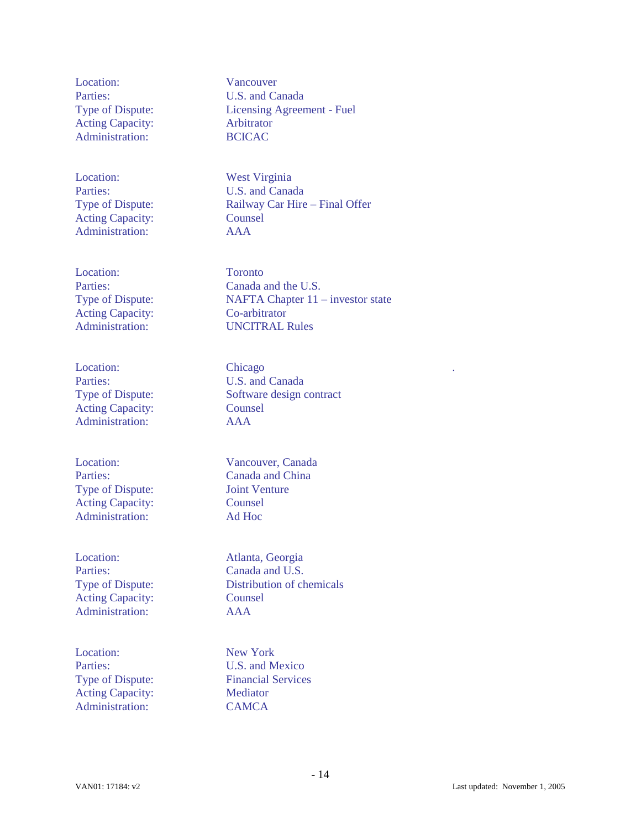Location: Vancouver Parties: U.S. and Canada Acting Capacity: Arbitrator Administration: BCICAC

Location: West Virginia Acting Capacity: Counsel Administration: AAA

Location: Toronto Acting Capacity: Co-arbitrator

Parties: U.S. and Canada Acting Capacity: Counsel Administration: AAA

Type of Dispute: Joint Venture Acting Capacity: Counsel Administration: Ad Hoc

Location: Atlanta, Georgia Acting Capacity: Counsel Administration: AAA

Location: New York Acting Capacity: Mediator Administration: CAMCA

Type of Dispute: Licensing Agreement - Fuel

Parties: U.S. and Canada Type of Dispute: Railway Car Hire – Final Offer

Parties: Canada and the U.S. Type of Dispute: NAFTA Chapter 11 – investor state Administration: UNCITRAL Rules

Location: Chicago ... Chicago ... The Chicago ... The Chicago ... The Chicago ... In the Chicago ... In the Chicago ... In the Chicago ... In the Chicago ... In the Chicago ... In the Chicago ... In the Chicago ... In the Type of Dispute: Software design contract

Location: Vancouver, Canada Parties: Canada and China

Parties: Canada and U.S. Type of Dispute: Distribution of chemicals

Parties: U.S. and Mexico Type of Dispute: Financial Services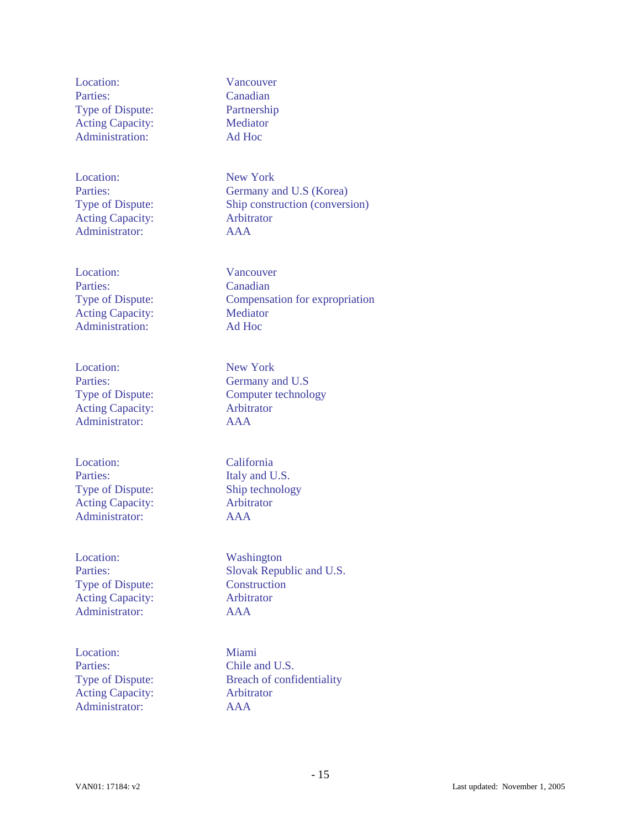Location: Vancouver Parties: Canadian Type of Dispute: Partnership Acting Capacity: Mediator Administration: Ad Hoc

Location: New York Acting Capacity: Arbitrator Administrator: AAA

Location: Vancouver Parties: Canadian Acting Capacity: Mediator Administration: Ad Hoc

Location: New York Acting Capacity: Arbitrator Administrator: AAA

Location: California Parties: Italy and U.S. Type of Dispute: Ship technology Acting Capacity: Arbitrator Administrator: AAA

Location: Washington Type of Dispute: Construction Acting Capacity: Arbitrator Administrator: AAA

Location: Miami Parties: Chile and U.S. Acting Capacity: Arbitrator Administrator: AAA

Parties: Germany and U.S (Korea) Type of Dispute: Ship construction (conversion)

Type of Dispute: Compensation for expropriation

Parties: Germany and U.S Type of Dispute: Computer technology

Parties: Slovak Republic and U.S.

Type of Dispute: Breach of confidentiality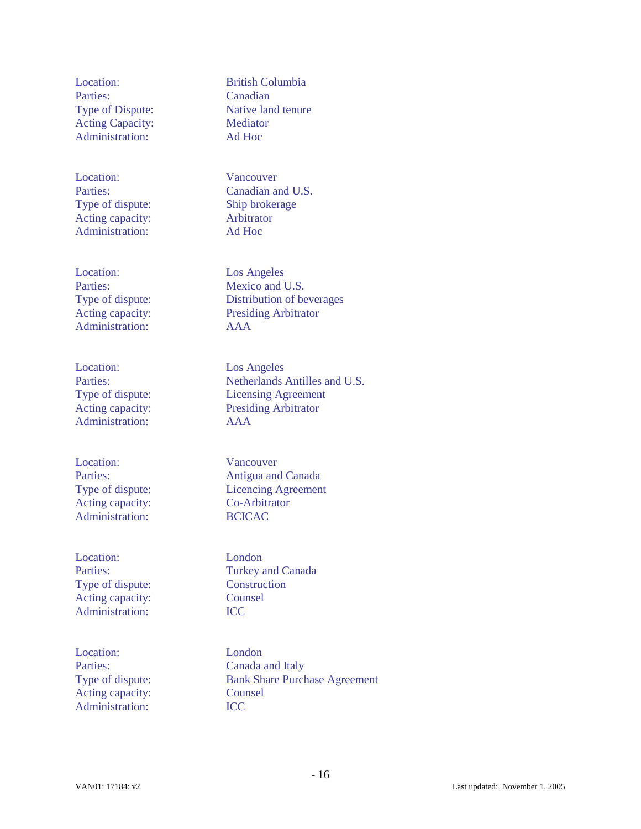Parties: Canadian Acting Capacity: Mediator Administration: Ad Hoc

Location: Vancouver Type of dispute: Ship brokerage Acting capacity: Arbitrator Administration: Ad Hoc

Location: Los Angeles Administration: AAA

Location: Los Angeles Administration: AAA

Location: Vancouver Acting capacity: Co-Arbitrator Administration: BCICAC

Location: London Type of dispute: Construction Acting capacity: Counsel Administration: **ICC** 

Location: London Acting capacity: Counsel Administration: **ICC** 

Location: British Columbia Type of Dispute: Native land tenure

Parties: Canadian and U.S.

Parties: Mexico and U.S. Type of dispute: Distribution of beverages Acting capacity: Presiding Arbitrator

Parties: Netherlands Antilles and U.S. Type of dispute: Licensing Agreement Acting capacity: Presiding Arbitrator

Parties: Antigua and Canada Type of dispute: Licencing Agreement

Parties: Turkey and Canada

Parties: Canada and Italy Type of dispute: Bank Share Purchase Agreement